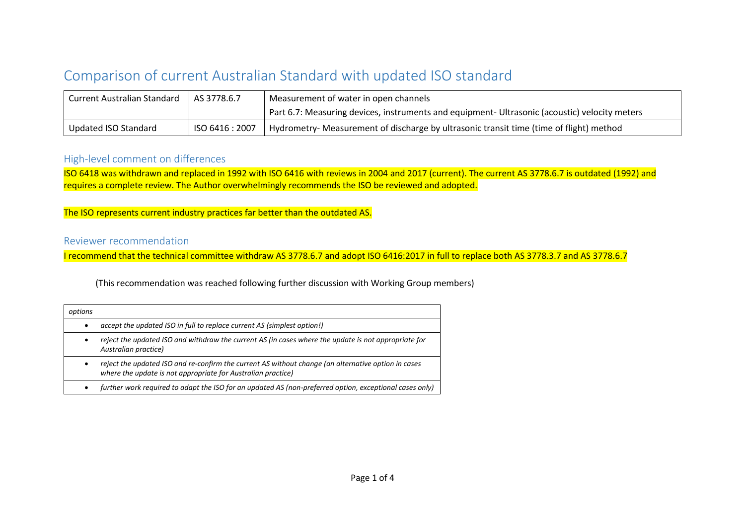## Comparison of current Australian Standard with updated ISO standard

| <b>Current Australian Standard</b> | AS 3778.6.7     | Measurement of water in open channels                                                         |  |
|------------------------------------|-----------------|-----------------------------------------------------------------------------------------------|--|
|                                    |                 | Part 6.7: Measuring devices, instruments and equipment- Ultrasonic (acoustic) velocity meters |  |
| Updated ISO Standard               | ISO 6416 : 2007 | Hydrometry- Measurement of discharge by ultrasonic transit time (time of flight) method       |  |

## High-level comment on differences

ISO 6418 was withdrawn and replaced in 1992 with ISO 6416 with reviews in 2004 and 2017 (current). The current AS 3778.6.7 is outdated (1992) and requires a complete review. The Author overwhelmingly recommends the ISO be reviewed and adopted.

The ISO represents current industry practices far better than the outdated AS.

## Reviewer recommendation

I recommend that the technical committee withdraw AS 3778.6.7 and adopt ISO 6416:2017 in full to replace both AS 3778.3.7 and AS 3778.6.7

(This recommendation was reached following further discussion with Working Group members)

| options |                                                                                                                                                                     |
|---------|---------------------------------------------------------------------------------------------------------------------------------------------------------------------|
|         | accept the updated ISO in full to replace current AS (simplest option!)                                                                                             |
|         | reject the updated ISO and withdraw the current AS (in cases where the update is not appropriate for<br>Australian practice)                                        |
|         | reject the updated ISO and re-confirm the current AS without change (an alternative option in cases<br>where the update is not appropriate for Australian practice) |
|         | further work required to adapt the ISO for an updated AS (non-preferred option, exceptional cases only)                                                             |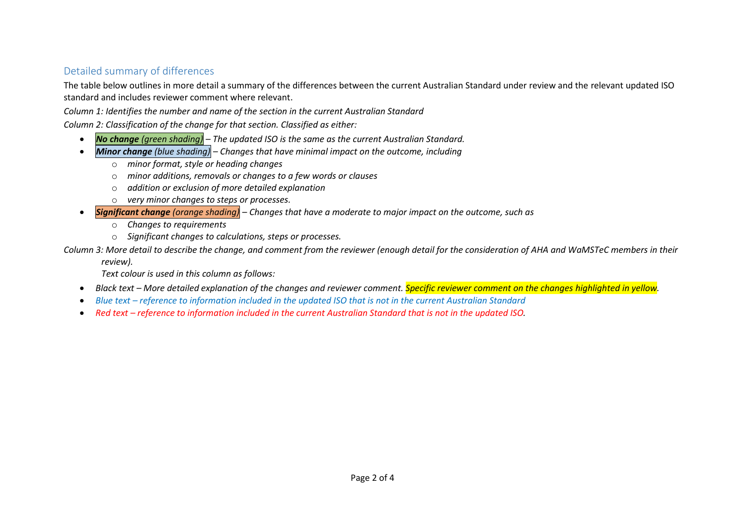## Detailed summary of differences

The table below outlines in more detail a summary of the differences between the current Australian Standard under review and the relevant updated ISO standard and includes reviewer comment where relevant.

*Column 1: Identifies the number and name of the section in the current Australian Standard*

*Column 2: Classification of the change for that section. Classified as either:*

- *No change (green shading) – The updated ISO is the same as the current Australian Standard.*
- *Minor change (blue shading) – Changes that have minimal impact on the outcome, including*
	- o *minor format, style or heading changes*
	- o *minor additions, removals or changes to a few words or clauses*
	- o *addition or exclusion of more detailed explanation*
	- o *very minor changes to steps or processes.*
- *Significant change (orange shading) – Changes that have a moderate to major impact on the outcome, such as*
	- o *Changes to requirements*
	- o *Significant changes to calculations, steps or processes.*

*Column 3: More detail to describe the change, and comment from the reviewer (enough detail for the consideration of AHA and WaMSTeC members in their* 

*review).*

*Text colour is used in this column as follows:*

- *Black text – More detailed explanation of the changes and reviewer comment. Specific reviewer comment on the changes highlighted in yellow.*
- *Blue text – reference to information included in the updated ISO that is not in the current Australian Standard*
- Red text *reference to information included in the current Australian Standard that is not in the updated ISO.*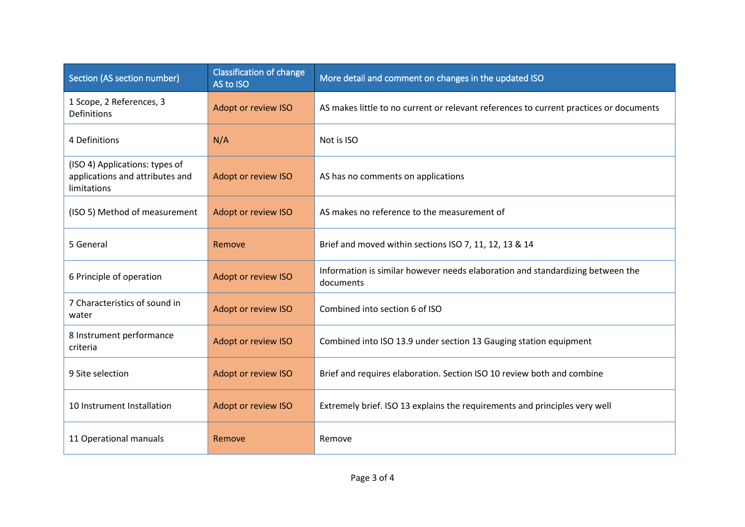| Section (AS section number)                                                      | <b>Classification of change</b><br>AS to ISO | More detail and comment on changes in the updated ISO                                       |
|----------------------------------------------------------------------------------|----------------------------------------------|---------------------------------------------------------------------------------------------|
| 1 Scope, 2 References, 3<br><b>Definitions</b>                                   | Adopt or review ISO                          | AS makes little to no current or relevant references to current practices or documents      |
| 4 Definitions                                                                    | N/A                                          | Not is ISO                                                                                  |
| (ISO 4) Applications: types of<br>applications and attributes and<br>limitations | Adopt or review ISO                          | AS has no comments on applications                                                          |
| (ISO 5) Method of measurement                                                    | Adopt or review ISO                          | AS makes no reference to the measurement of                                                 |
| 5 General<br>Remove                                                              |                                              | Brief and moved within sections ISO 7, 11, 12, 13 & 14                                      |
| Adopt or review ISO<br>6 Principle of operation                                  |                                              | Information is similar however needs elaboration and standardizing between the<br>documents |
| 7 Characteristics of sound in<br>Adopt or review ISO<br>water                    |                                              | Combined into section 6 of ISO                                                              |
| 8 Instrument performance<br>Adopt or review ISO<br>criteria                      |                                              | Combined into ISO 13.9 under section 13 Gauging station equipment                           |
| 9 Site selection<br>Adopt or review ISO                                          |                                              | Brief and requires elaboration. Section ISO 10 review both and combine                      |
| 10 Instrument Installation<br>Adopt or review ISO                                |                                              | Extremely brief. ISO 13 explains the requirements and principles very well                  |
| 11 Operational manuals<br>Remove                                                 |                                              | Remove                                                                                      |